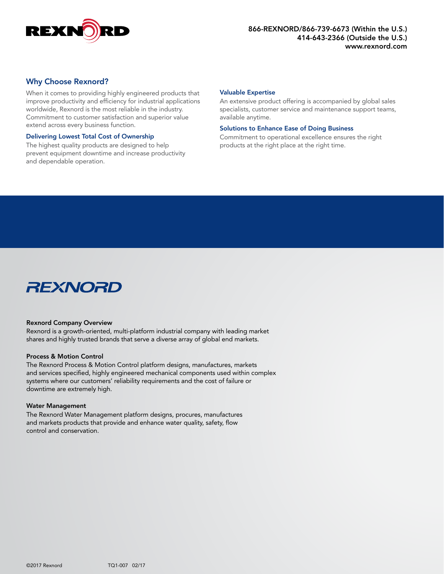

# Why Choose Rexnord?

When it comes to providing highly engineered products that improve productivity and efficiency for industrial applications worldwide, Rexnord is the most reliable in the industry. Commitment to customer satisfaction and superior value extend across every business function.

#### Delivering Lowest Total Cost of Ownership

The highest quality products are designed to help prevent equipment downtime and increase productivity and dependable operation.

#### Valuable Expertise

An extensive product offering is accompanied by global sales specialists, customer service and maintenance support teams, available anytime.

#### Solutions to Enhance Ease of Doing Business

Commitment to operational excellence ensures the right products at the right place at the right time.



### Rexnord Company Overview

Rexnord is a growth-oriented, multi-platform industrial company with leading market shares and highly trusted brands that serve a diverse array of global end markets.

#### Process & Motion Control

The Rexnord Process & Motion Control platform designs, manufactures, markets and services specified, highly engineered mechanical components used within complex systems where our customers' reliability requirements and the cost of failure or downtime are extremely high.

#### Water Management

The Rexnord Water Management platform designs, procures, manufactures and markets products that provide and enhance water quality, safety, flow control and conservation.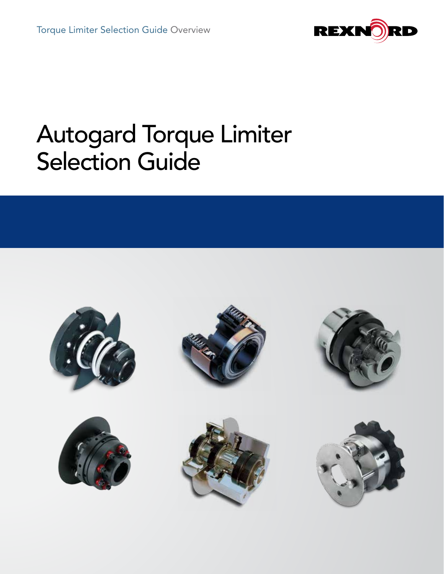

# Autogard Torque Limiter Selection Guide

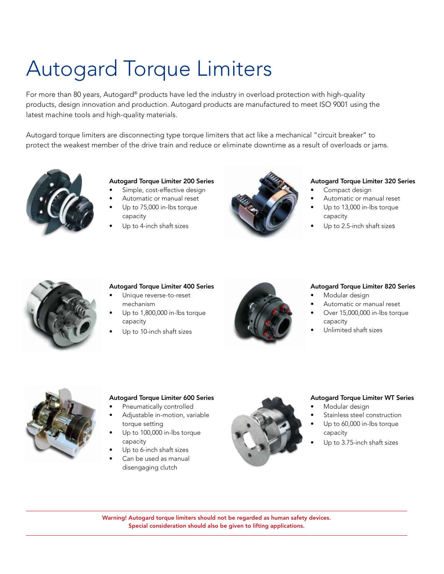# Autogard Torque Limiters

For more than 80 years, Autogard® products have led the industry in overload protection with high-quality products, design innovation and production. Autogard products are manufactured to meet ISO 9001 using the latest machine tools and high-quality materials.

Autogard torque limiters are disconnecting type torque limiters that act like a mechanical "circuit breaker" to protect the weakest member of the drive train and reduce or eliminate downtime as a result of overloads or jams.



# Autogard Torque Limiter 200 Series

- Simple, cost-effective design
- Automatic or manual reset
- Up to 75,000 in-lbs torque capacity
- Up to 4-inch shaft sizes



### Autogard Torque Limiter 320 Series

- Compact design
	- Automatic or manual reset
- Up to 13,000 in-lbs torque capacity
- Up to 2.5-inch shaft sizes



# Autogard Torque Limiter 400 Series

- Unique reverse-to-reset mechanism
- Up to 1,800,000 in-lbs torque capacity
- Up to 10-inch shaft sizes



### Autogard Torque Limiter 820 Series

- Modular design
- Automatic or manual reset
- Over 15,000,000 in-lbs torque capacity
- Unlimited shaft sizes



# Autogard Torque Limiter 600 Series

- Pneumatically controlled
- Adjustable in-motion, variable torque setting
- Up to 100,000 in-lbs torque capacity
- Up to 6-inch shaft sizes
- Can be used as manual disengaging clutch



### Autogard Torque Limiter WT Series

- Modular design
- Stainless steel construction
- Up to 60,000 in-lbs torque capacity
- Up to 3.75-inch shaft sizes

Warning! Autogard torque limiters should not be regarded as human safety devices. Special consideration should also be given to lifting applications.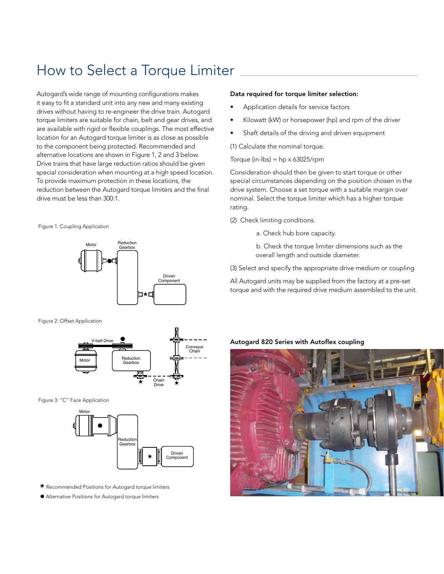# How to Select a Torque Limiter

Autogard's wide range of mounting configurations makes it easy to fit a standard unit into any new and many existing drives without having to re-engineer the drive train. Autogard torque limiters are suitable for chain, belt and gear drives, and are available with rigid or flexible couplings. The most effective location for an Autogard torque limiter is as close as possible to the component being protected. Recommended and alternative locations are shown in Figure 1, 2 and 3 below. Drive trains that have large reduction ratios should be given special consideration when mounting at a high speed location. To provide maximum protection in these locations, the reduction between the Autogard torque limiters and the final drive must be less than 300:1.

Figure 1: Coupling Application



Figure 2: Offset Application



Figure 3: "C" Face Application



- $\star$  Recommended Positions for Autogard torque limiters
- Alternative Positions for Autogard torque limiters

#### Data required for torque limiter selection:

- Application details for service factors
- Kilowatt (kW) or horsepower (hp) and rpm of the driver
- Shaft details of the driving and driven equipment

(1) Calculate the nominal torque.

Torque (in-lbs) =  $hp \times 63025$ /rpm

Consideration should then be given to start torque or other special circumstances depending on the position chosen in the drive system. Choose a set torque with a suitable margin over nominal. Select the torque limiter which has a higher torque rating.

- (2) Check limiting conditions.
	- a. Check hub bore capacity.

b. Check the torque limiter dimensions such as the overall length and outside diameter.

(3) Select and specify the appropriate drive medium or coupling

All Autogard units may be supplied from the factory at a pre-set torque and with the required drive medium assembled to the unit.

#### Autogard 820 Series with Autoflex coupling

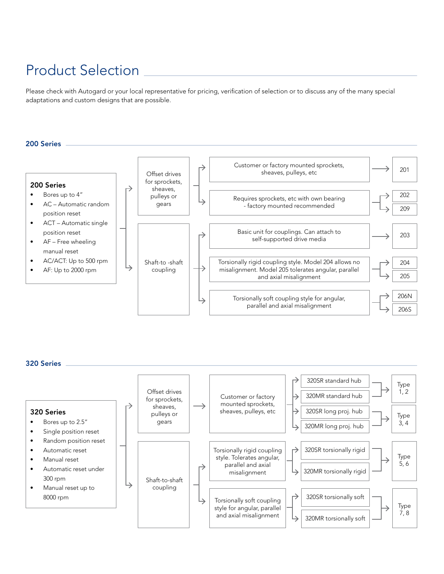# Product Selection

Please check with Autogard or your local representative for pricing, verification of selection or to discuss any of the many special adaptations and custom designs that are possible.



320 Series

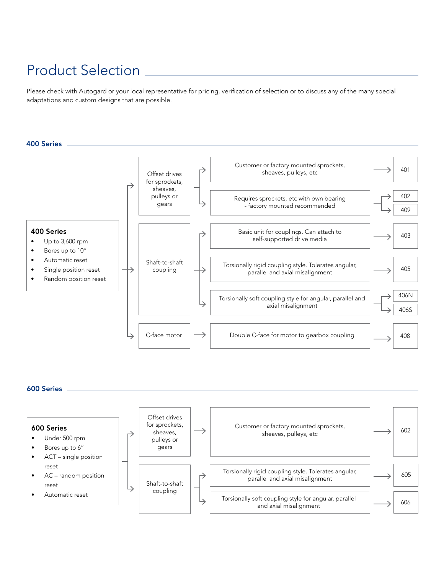# Product Selection

Please check with Autogard or your local representative for pricing, verification of selection or to discuss any of the many special adaptations and custom designs that are possible.



### 600 Series

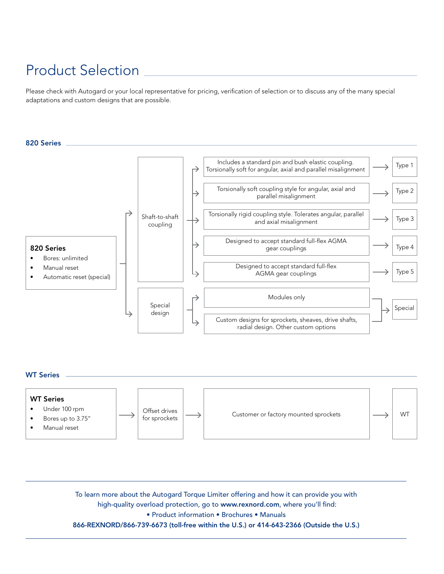# Product Selection

Please check with Autogard or your local representative for pricing, verification of selection or to discuss any of the many special adaptations and custom designs that are possible.





To learn more about the Autogard Torque Limiter offering and how it can provide you with high-quality overload protection, go to www.rexnord.com, where you'll find: • Product information • Brochures • Manuals 866-REXNORD/866-739-6673 (toll-free within the U.S.) or 414-643-2366 (Outside the U.S.)